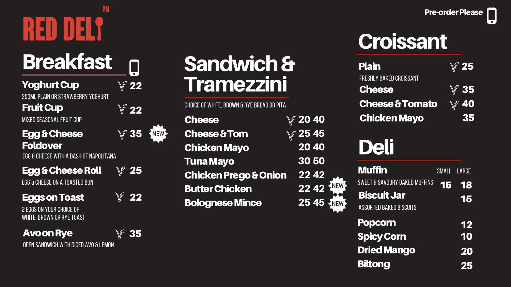### **TM** REN

## **Breakfast**

#### Yoghurt Cup

250ML PLAIN OR STRAWBERRY YOGHURT

#### **Fruit Cup**

MIXED SEASONAL FRUIT CUP

#### E g g & C h eese **Foldover**

EGG & CHEESE WITH A DASH OF NAPOLITANA

#### Egg & Cheese Roll

EGG & CHEESE ON A TOASTED BUN

#### Eggs on Toast

2 EGGS ON YOUR CHOICE OF WHITE, BROWN OR RYE TOAST 2 2

 $\Box$ 

2 2

3 5

NEW

| <b>Cheese</b>                    | $\overline{V}$ 20 40 |  |
|----------------------------------|----------------------|--|
| <b>Cheese &amp; Tom</b>          | № 254                |  |
| <b>Chicken Mayo</b>              | 2040                 |  |
| <b>Tuna Mayo</b>                 | 30 50                |  |
| <b>Chicken Prego &amp; Onion</b> | 2242                 |  |
| <b>Butter Chicken</b>            | 2242                 |  |
| <b>Bolognese Mince</b>           | 254                  |  |
|                                  |                      |  |

#### Pre-order Please

| <b>Muffin</b>                                        | SMALL LARGE |       |
|------------------------------------------------------|-------------|-------|
| <b>SWEET &amp; SAVOURY BAKED MUFFINS</b>             |             | 15 18 |
| <b>Biscuit Jar</b><br><b>ASSORTED BAKED BISCUITS</b> |             | 15    |
| <b>Popcorn</b>                                       |             | 12    |
| <b>Spicy Corn</b>                                    |             | 10    |
| <b>Dried Mango</b>                                   |             | 20    |
| <b>Biltong</b>                                       |             | 25    |

#### Avo o n Rye

2 5

2 2

OPEN SANDWICH WITH DICED AVO & LEMON

### Sandwich & **Tramezzini**

CHOICE OF WHITE, BROWN & RYE BREAD OR PITA

| $\mathbb{V}$ 25 |
|-----------------|
|                 |
| $\mathbb{V}$ 35 |
| $\sqrt{}$ 40    |
| 35              |
|                 |

### Deli



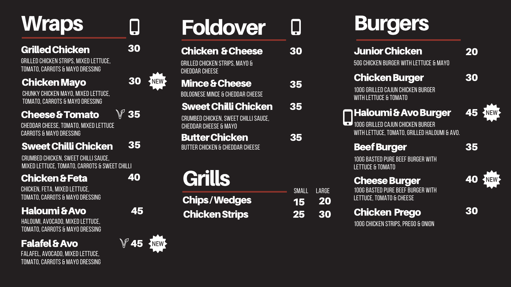# **Wraps**

#### Grilled Chicken

GRILLED CHICKEN STRIPS, MIXED LETTUCE, TOMATO, CARROTS & MAYO DRESSING

| <b>Chips/Wedges</b>   |  |
|-----------------------|--|
| <b>Chicken Strips</b> |  |

1 5

SMALL

2 5



3 5

# Foldover

#### Chicken & Cheese

GRILLED CHICKEN STRIPS, MAYO & CHEDDAR CHEESE

### Mince & Cheese

BOLOGNESE MINCE & CHEDDAR CHEESE

3 0

 $\Box$ 

CHEDDAR CHEESE, TOMATO, MIXED LETTUCE CARROTS & MAYO DRESSING

#### **Sweet Chilli Chicken**

CRUMBED CHICKEN, SWEET CHILLI SAUCE, MIXED LETTUCE, TOMATO, CARROTS & SWEET CHILLI

3 5

**Chicken & Feta 40<br>CHICKEN, FETA, MIXED LETTUCE,<br>TOMATO, CARROTS & MAYO DRESSING** CHICKEN, FETA, MIXED LETTUCE,<br>TOMATO, CARROTS & MAYO DRESSING

#### Haloumi & Avo

HALOUMI, AVOCADO, MIXED LETTUCE, TOMATO, CARROTS & MAYO DRESSING

#### Sweet Chilli Chicken 3 5

CRUMBED CHICKEN, SWEET CHILLI SAUCE, CHEDDAR CHEESE & MAYO

#### Butter Chicken





3 0

 $\begin{array}{c} \n\textbf{45} \\
\hline\n0\n\end{array}$ 



3 0

4 5

40

3 0

 $\Box$ 

#### C h i c ke n M ayo

CHUNKY CHICKEN MAYO, MIXED LETTUCE, TOMATO, CARROTS & MAYO DRESSING

#### Cheese & Tomato

3 5

BUTTER CHICKEN & CHEDDAR CHEESE

# **Grills**



# **Burgers**

#### Junior Chicken

50G CHICKEN BURGER WITH LETTUCE & MAYO

#### Chicken Burger

100G GRILLED CAJUN CHICKEN BURGER WITH LETTUCE & TOMATO

#### Haloumi & Avo Burger

100G GRILLED CAJUN CHICKEN BURGER WITH LETTUCE, TOMATO, GRILLED HALOUMI & AV(

#### Beef Burger

100G BASTED PURE BEEF BURGER WITH LETTUCE & TOMATO

#### Cheese Burger

100G BASTED PURE BEEF BURGER WITH LETTUCE, TOMATO & CHEESE

#### Chicken Prego

100G CHICKEN STRIPS, PREGO & ONION

3 5

#### Fa la fe l & Avo

FALAFEL, AVOCADO, MIXED LETTUCE, TOMATO, CARROTS & MAYO DRESSING

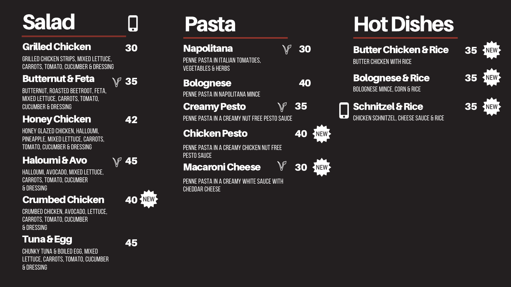## **Salad**

#### Grilled Chicken

BUTTERNUT, ROASTED BEETROOT, FETA, MIXED LETTUCE, CARROTS, TOMATO, cucumber & dressing

HALLOUMI, AVOCADO, MIXED LETTUCE, CARROTS, TOMATO, CUCUMBER & dressing

#### Crumbed Chicken

#### HoneyChicken

HONEY GLAZED CHICKEN, HALLOUMI, PINEAPPLE, MIXED LETTUCE, CARROTS, TOMATO, CUCUMBER & DRESSING

PENNE PASTA IN ITALIAN TOMATOES, vegetables & herbs

#### 3 5  $\mathbb{V}$ **Creamy Pesto**

PENNE PASTA IN A CREAMY NUT FREE PESTO SAUCE

#### Haloumi&Avo

4 0 KNEW

### Pa sta

#### **Napolitana**

#### Bolognese

PENNE PASTA IN NAPOLITANA MINCE

3 0 NEW

 $\mathbb V$ 

PENNE PASTA IN A CREAMY WHITE SAUCE WITH CHEDDAR CHEESE

## Hot Dishes

#### Butter Chicken & Rice

BUTTER CHICKEN WITH RICE

#### Bolognese & Rice

BOLOGNESE MINCE, CORN & RICE

### Schnitzel & Rice

 $\overline{\bullet}$  ) CHICKEN SCHNITZEL, CHEESE SAUCE & RICE

#### C h i c ke n Pesto

3 0

 $\mathbb{V}$ 

4 0

PENNE PASTA IN A CREAMY CHICKEN NUT FREE PESTO SAUCE

#### Macaroni Cheese

3 0

GRILLED CHICKEN STRIPS, MIXED LETTUCE, **CARROTS, TOMATO, CUCUMBER & DRESSING** 

#### **Butternut & Feta**

3 5

4 2

4 5



CRUMBED CHICKEN, AVOCADO, LETTUCE, CARROTS, TOMATO, CUCUMBER & dressing

#### Tuna & Egg

CHUNKY TUNA & BOILED EGG, MIXED LETTUCE, CARROTS, TOMATO, CUCUMBER & DRESSING





4 5